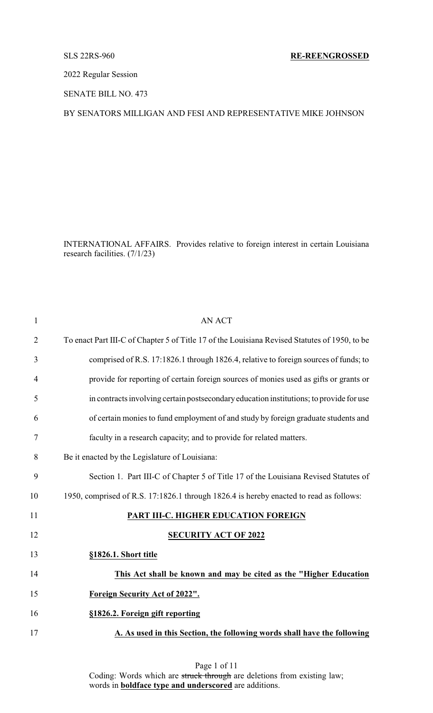2022 Regular Session

SENATE BILL NO. 473

# BY SENATORS MILLIGAN AND FESI AND REPRESENTATIVE MIKE JOHNSON

INTERNATIONAL AFFAIRS. Provides relative to foreign interest in certain Louisiana research facilities. (7/1/23)

| $\mathbf{1}$   | <b>AN ACT</b>                                                                                 |
|----------------|-----------------------------------------------------------------------------------------------|
| $\overline{2}$ | To enact Part III-C of Chapter 5 of Title 17 of the Louisiana Revised Statutes of 1950, to be |
| 3              | comprised of R.S. 17:1826.1 through 1826.4, relative to foreign sources of funds; to          |
| $\overline{4}$ | provide for reporting of certain foreign sources of monies used as gifts or grants or         |
| 5              | in contracts involving certain postsecondary education institutions; to provide for use       |
| 6              | of certain monies to fund employment of and study by foreign graduate students and            |
| 7              | faculty in a research capacity; and to provide for related matters.                           |
| 8              | Be it enacted by the Legislature of Louisiana:                                                |
| 9              | Section 1. Part III-C of Chapter 5 of Title 17 of the Louisiana Revised Statutes of           |
| 10             | 1950, comprised of R.S. 17:1826.1 through 1826.4 is hereby enacted to read as follows:        |
| 11             | PART III-C. HIGHER EDUCATION FOREIGN                                                          |
| 12             | <b>SECURITY ACT OF 2022</b>                                                                   |
| 13             | §1826.1. Short title                                                                          |
| 14             | This Act shall be known and may be cited as the "Higher Education                             |
| 15             | <b>Foreign Security Act of 2022".</b>                                                         |
| 16             | §1826.2. Foreign gift reporting                                                               |
| 17             | A. As used in this Section, the following words shall have the following                      |
|                |                                                                                               |

Page 1 of 11 Coding: Words which are struck through are deletions from existing law; words in **boldface type and underscored** are additions.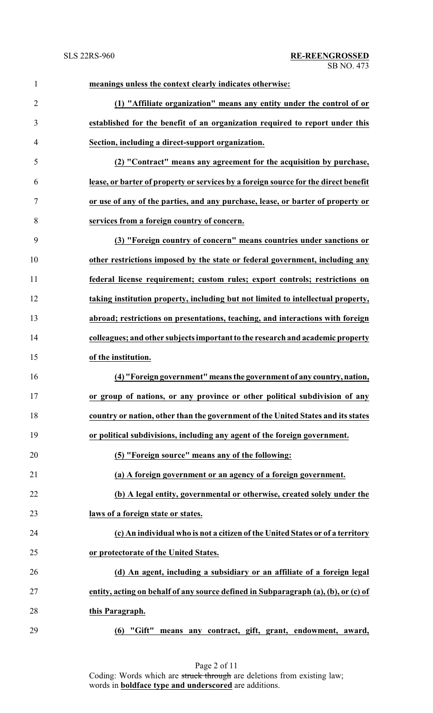| $\mathbf{1}$   | meanings unless the context clearly indicates otherwise:                            |
|----------------|-------------------------------------------------------------------------------------|
| $\overline{2}$ | (1) "Affiliate organization" means any entity under the control of or               |
| 3              | established for the benefit of an organization required to report under this        |
| $\overline{4}$ | Section, including a direct-support organization.                                   |
| 5              | (2) "Contract" means any agreement for the acquisition by purchase,                 |
| 6              | lease, or barter of property or services by a foreign source for the direct benefit |
| 7              | or use of any of the parties, and any purchase, lease, or barter of property or     |
| 8              | services from a foreign country of concern.                                         |
| 9              | (3) "Foreign country of concern" means countries under sanctions or                 |
| 10             | other restrictions imposed by the state or federal government, including any        |
| 11             | federal license requirement; custom rules; export controls; restrictions on         |
| 12             | taking institution property, including but not limited to intellectual property,    |
| 13             | abroad; restrictions on presentations, teaching, and interactions with foreign      |
| 14             | colleagues; and other subjects important to the research and academic property      |
| 15             | of the institution.                                                                 |
| 16             | (4) "Foreign government" means the government of any country, nation,               |
| 17             | or group of nations, or any province or other political subdivision of any          |
| 18             | country or nation, other than the government of the United States and its states    |
| 19             | or political subdivisions, including any agent of the foreign government.           |
| 20             | (5) "Foreign source" means any of the following:                                    |
| 21             | (a) A foreign government or an agency of a foreign government.                      |
| 22             | (b) A legal entity, governmental or otherwise, created solely under the             |
| 23             | laws of a foreign state or states.                                                  |
| 24             | (c) An individual who is not a citizen of the United States or of a territory       |
| 25             | or protectorate of the United States.                                               |
| 26             | (d) An agent, including a subsidiary or an affiliate of a foreign legal             |
| 27             | entity, acting on behalf of any source defined in Subparagraph (a), (b), or (c) of  |
| 28             | this Paragraph.                                                                     |
| 29             | "Gift" means any contract, gift, grant, endowment, award,<br>(6)                    |

Page 2 of 11 Coding: Words which are struck through are deletions from existing law; words in **boldface type and underscored** are additions.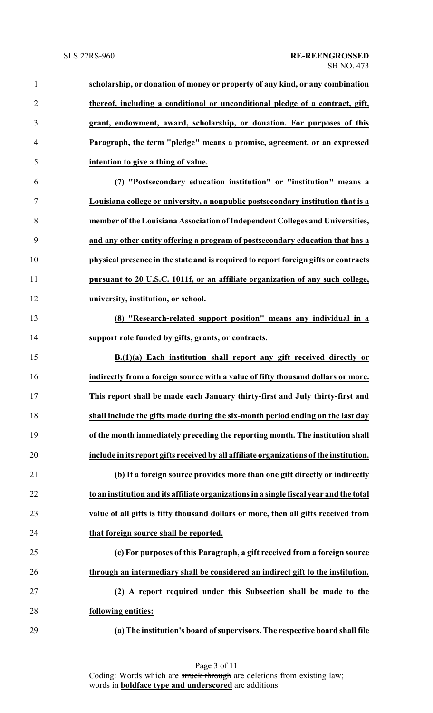| $\mathbf{1}$   | scholarship, or donation of money or property of any kind, or any combination           |
|----------------|-----------------------------------------------------------------------------------------|
| $\overline{2}$ | thereof, including a conditional or unconditional pledge of a contract, gift,           |
| 3              | grant, endowment, award, scholarship, or donation. For purposes of this                 |
| $\overline{4}$ | Paragraph, the term "pledge" means a promise, agreement, or an expressed                |
| 5              | intention to give a thing of value.                                                     |
| 6              | (7) "Postsecondary education institution" or "institution" means a                      |
| $\overline{7}$ | Louisiana college or university, a nonpublic postsecondary institution that is a        |
| 8              | member of the Louisiana Association of Independent Colleges and Universities,           |
| 9              | and any other entity offering a program of postsecondary education that has a           |
| 10             | physical presence in the state and is required to report foreign gifts or contracts     |
| 11             | pursuant to 20 U.S.C. 1011f, or an affiliate organization of any such college,          |
| 12             | university, institution, or school.                                                     |
| 13             | (8) "Research-related support position" means any individual in a                       |
| 14             | support role funded by gifts, grants, or contracts.                                     |
| 15             | B.(1)(a) Each institution shall report any gift received directly or                    |
| 16             | indirectly from a foreign source with a value of fifty thousand dollars or more.        |
| 17             | This report shall be made each January thirty-first and July thirty-first and           |
| 18             | shall include the gifts made during the six-month period ending on the last day         |
| 19             | of the month immediately preceding the reporting month. The institution shall           |
| 20             | include in its report gifts received by all affiliate organizations of the institution. |
| 21             | (b) If a foreign source provides more than one gift directly or indirectly              |
| 22             | to an institution and its affiliate organizations in a single fiscal year and the total |
| 23             | value of all gifts is fifty thousand dollars or more, then all gifts received from      |
| 24             | that foreign source shall be reported.                                                  |
| 25             | (c) For purposes of this Paragraph, a gift received from a foreign source               |
| 26             | through an intermediary shall be considered an indirect gift to the institution.        |
| 27             | (2) A report required under this Subsection shall be made to the                        |
| 28             | following entities:                                                                     |
| 29             | (a) The institution's board of supervisors. The respective board shall file             |

Page 3 of 11 Coding: Words which are struck through are deletions from existing law; words in **boldface type and underscored** are additions.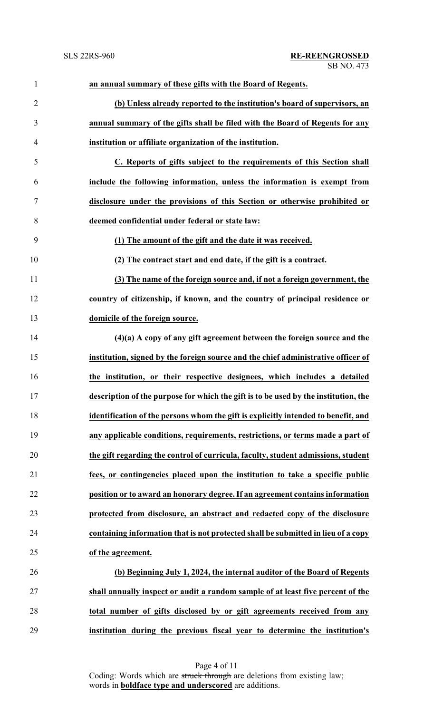| $\mathbf{1}$             | an annual summary of these gifts with the Board of Regents.                         |
|--------------------------|-------------------------------------------------------------------------------------|
| $\overline{2}$           | (b) Unless already reported to the institution's board of supervisors, an           |
| 3                        | annual summary of the gifts shall be filed with the Board of Regents for any        |
| $\overline{\mathcal{A}}$ | institution or affiliate organization of the institution.                           |
| 5                        | C. Reports of gifts subject to the requirements of this Section shall               |
| 6                        | include the following information, unless the information is exempt from            |
| 7                        | disclosure under the provisions of this Section or otherwise prohibited or          |
| 8                        | deemed confidential under federal or state law:                                     |
| 9                        | (1) The amount of the gift and the date it was received.                            |
| 10                       | (2) The contract start and end date, if the gift is a contract.                     |
| 11                       | (3) The name of the foreign source and, if not a foreign government, the            |
| 12                       | country of citizenship, if known, and the country of principal residence or         |
| 13                       | domicile of the foreign source.                                                     |
| 14                       | $(4)(a)$ A copy of any gift agreement between the foreign source and the            |
| 15                       | institution, signed by the foreign source and the chief administrative officer of   |
| 16                       | the institution, or their respective designees, which includes a detailed           |
| 17                       | description of the purpose for which the gift is to be used by the institution, the |
| 18                       | identification of the persons whom the gift is explicitly intended to benefit, and  |
| 19                       | any applicable conditions, requirements, restrictions, or terms made a part of      |
| 20                       | the gift regarding the control of curricula, faculty, student admissions, student   |
| 21                       | fees, or contingencies placed upon the institution to take a specific public        |
| 22                       | position or to award an honorary degree. If an agreement contains information       |
| 23                       | protected from disclosure, an abstract and redacted copy of the disclosure          |
| 24                       | containing information that is not protected shall be submitted in lieu of a copy   |
| 25                       | of the agreement.                                                                   |
| 26                       | (b) Beginning July 1, 2024, the internal auditor of the Board of Regents            |
| 27                       | shall annually inspect or audit a random sample of at least five percent of the     |
| 28                       | total number of gifts disclosed by or gift agreements received from any             |
| 29                       | institution during the previous fiscal year to determine the institution's          |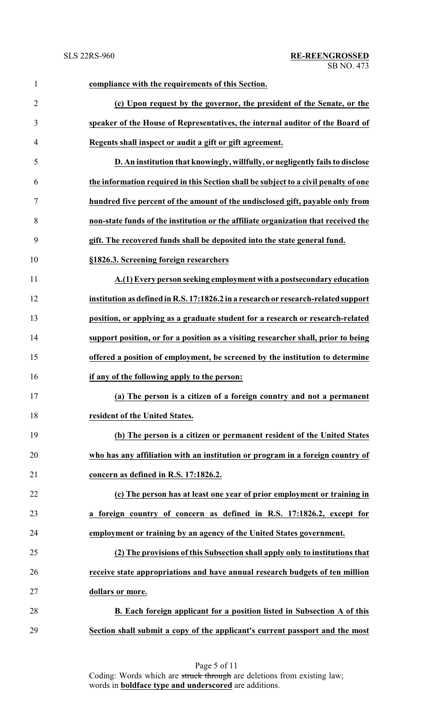| $\mathbf{1}$   | compliance with the requirements of this Section.                                   |
|----------------|-------------------------------------------------------------------------------------|
| $\overline{2}$ | (c) Upon request by the governor, the president of the Senate, or the               |
| 3              | speaker of the House of Representatives, the internal auditor of the Board of       |
| $\overline{4}$ | Regents shall inspect or audit a gift or gift agreement.                            |
| 5              | D. An institution that knowingly, willfully, or negligently fails to disclose       |
| 6              | the information required in this Section shall be subject to a civil penalty of one |
| 7              | hundred five percent of the amount of the undisclosed gift, payable only from       |
| 8              | non-state funds of the institution or the affiliate organization that received the  |
| 9              | gift. The recovered funds shall be deposited into the state general fund.           |
| 10             | §1826.3. Screening foreign researchers                                              |
| 11             | A.(1) Every person seeking employment with a postsecondary education                |
| 12             | institution as defined in R.S. 17:1826.2 in a research or research-related support  |
| 13             | position, or applying as a graduate student for a research or research-related      |
| 14             | support position, or for a position as a visiting researcher shall, prior to being  |
| 15             | offered a position of employment, be screened by the institution to determine       |
| 16             | if any of the following apply to the person:                                        |
| 17             | (a) The person is a citizen of a foreign country and not a permanent                |
| 18             | resident of the United States.                                                      |
| 19             | (b) The person is a citizen or permanent resident of the United States              |
| 20             | who has any affiliation with an institution or program in a foreign country of      |
| 21             | concern as defined in R.S. 17:1826.2.                                               |
| 22             | (c) The person has at least one year of prior employment or training in             |
| 23             | a foreign country of concern as defined in R.S. 17:1826.2, except for               |
| 24             | employment or training by an agency of the United States government.                |
| 25             | (2) The provisions of this Subsection shall apply only to institutions that         |
| 26             | receive state appropriations and have annual research budgets of ten million        |
| 27             | dollars or more.                                                                    |
| 28             | B. Each foreign applicant for a position listed in Subsection A of this             |
| 29             | Section shall submit a copy of the applicant's current passport and the most        |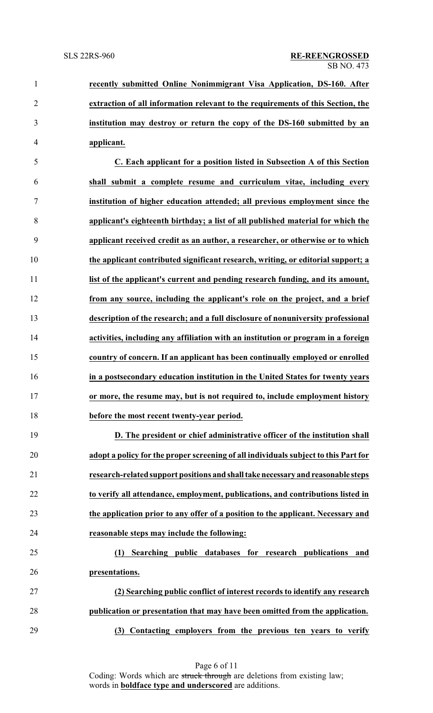**recently submitted Online Nonimmigrant Visa Application, DS-160. After extraction of all information relevant to the requirements of this Section, the institution may destroy or return the copy of the DS-160 submitted by an applicant.**

 **C. Each applicant for a position listed in Subsection A of this Section shall submit a complete resume and curriculum vitae, including every institution of higher education attended; all previous employment since the applicant's eighteenth birthday; a list of all published material for which the applicant received credit as an author, a researcher, or otherwise or to which the applicant contributed significant research, writing, or editorial support; a list of the applicant's current and pending research funding, and its amount, from any source, including the applicant's role on the project, and a brief description of the research; and a full disclosure of nonuniversity professional activities, including any affiliation with an institution or program in a foreign country of concern. If an applicant has been continually employed or enrolled in a postsecondary education institution in the United States for twenty years or more, the resume may, but is not required to, include employment history before the most recent twenty-year period.**

 **D. The president or chief administrative officer of the institution shall adopt a policy for the proper screening of all individuals subject to this Part for research-related support positions and shalltakenecessary and reasonable steps to verify all attendance, employment, publications, and contributions listed in the application prior to any offer of a position to the applicant. Necessary and reasonable steps may include the following:**

# **(1) Searching public databases for research publications and presentations.**

 **(2) Searching public conflict of interest records to identify any research publication or presentation that may have been omitted from the application. (3) Contacting employers from the previous ten years to verify**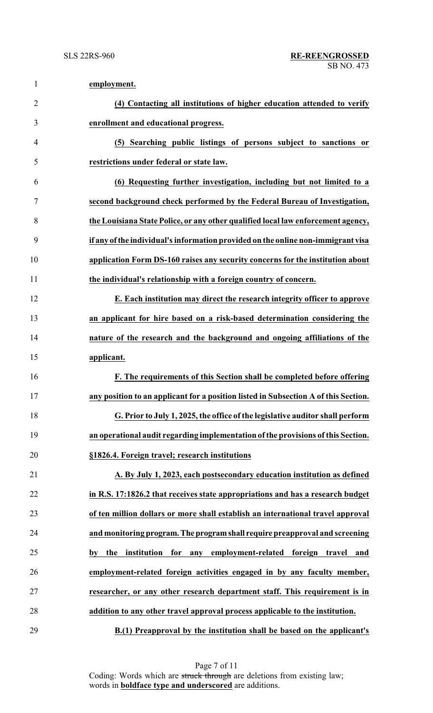| $\mathbf{1}$   | employment.                                                                                                                                                        |
|----------------|--------------------------------------------------------------------------------------------------------------------------------------------------------------------|
| $\overline{2}$ | (4) Contacting all institutions of higher education attended to verify                                                                                             |
| 3              | enrollment and educational progress.                                                                                                                               |
| $\overline{4}$ | (5) Searching public listings of persons subject to sanctions or                                                                                                   |
| 5              | restrictions under federal or state law.                                                                                                                           |
| 6              | (6) Requesting further investigation, including but not limited to a                                                                                               |
| 7              | second background check performed by the Federal Bureau of Investigation,                                                                                          |
| 8              | the Louisiana State Police, or any other qualified local law enforcement agency,                                                                                   |
| 9              | if any of the individual's information provided on the online non-immigrant visa                                                                                   |
| 10             | application Form DS-160 raises any security concerns for the institution about                                                                                     |
| 11             | the individual's relationship with a foreign country of concern.                                                                                                   |
| 12             | E. Each institution may direct the research integrity officer to approve                                                                                           |
| 13             | an applicant for hire based on a risk-based determination considering the                                                                                          |
| 14             | nature of the research and the background and ongoing affiliations of the                                                                                          |
| 15             | applicant.                                                                                                                                                         |
| 16             | F. The requirements of this Section shall be completed before offering                                                                                             |
| 17             | any position to an applicant for a position listed in Subsection A of this Section.                                                                                |
| 18             | G. Prior to July 1, 2025, the office of the legislative auditor shall perform                                                                                      |
| 19             | an operational audit regarding implementation of the provisions of this Section.                                                                                   |
| 20             | §1826.4. Foreign travel; research institutions                                                                                                                     |
| 21             | A. By July 1, 2023, each postsecondary education institution as defined                                                                                            |
| 22             | in R.S. 17:1826.2 that receives state appropriations and has a research budget                                                                                     |
| 23             | of ten million dollars or more shall establish an international travel approval                                                                                    |
| 24             | and monitoring program. The program shall require preapproval and screening                                                                                        |
| 25             | by the institution for any employment-related foreign travel and                                                                                                   |
| 26             | employment-related foreign activities engaged in by any faculty member,                                                                                            |
| 27             | researcher, or any other research department staff. This requirement is in                                                                                         |
| 28             | addition to any other travel approval process applicable to the institution.                                                                                       |
| $\sim$ $\sim$  | $\mathbf{r}$ , $\mathbf{r}$ , $\mathbf{r}$ , $\mathbf{r}$ , $\mathbf{r}$ , $\mathbf{r}$ , $\mathbf{r}$ , $\mathbf{r}$ , $\mathbf{r}$ , $\mathbf{r}$ , $\mathbf{r}$ |

**B.(1) Preapproval by the institution shall be based on the applicant's**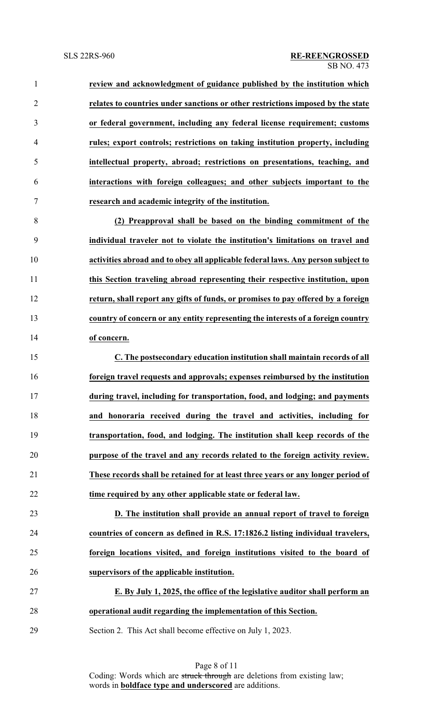**review and acknowledgment of guidance published by the institution which relates to countries under sanctions or other restrictions imposed by the state or federal government, including any federal license requirement; customs rules; export controls; restrictions on taking institution property, including intellectual property, abroad; restrictions on presentations, teaching, and interactions with foreign colleagues; and other subjects important to the research and academic integrity of the institution. (2) Preapproval shall be based on the binding commitment of the**

 **individual traveler not to violate the institution's limitations on travel and activities abroad and to obey all applicable federal laws. Any person subject to this Section traveling abroad representing their respective institution, upon return, shall report any gifts of funds, or promises to pay offered by a foreign country of concern or any entity representing the interests of a foreign country of concern.**

 **C. The postsecondary education institution shall maintain records of all foreign travel requests and approvals; expenses reimbursed by the institution during travel, including for transportation, food, and lodging; and payments and honoraria received during the travel and activities, including for transportation, food, and lodging. The institution shall keep records of the purpose of the travel and any records related to the foreign activity review. These records shall be retained for at least three years or any longer period of time required by any other applicable state or federal law.**

 **D. The institution shall provide an annual report of travel to foreign countries of concern as defined in R.S. 17:1826.2 listing individual travelers, foreign locations visited, and foreign institutions visited to the board of supervisors of the applicable institution.**

 **E. By July 1, 2025, the office of the legislative auditor shall perform an operational audit regarding the implementation of this Section.**

Section 2. This Act shall become effective on July 1, 2023.

Page 8 of 11 Coding: Words which are struck through are deletions from existing law; words in **boldface type and underscored** are additions.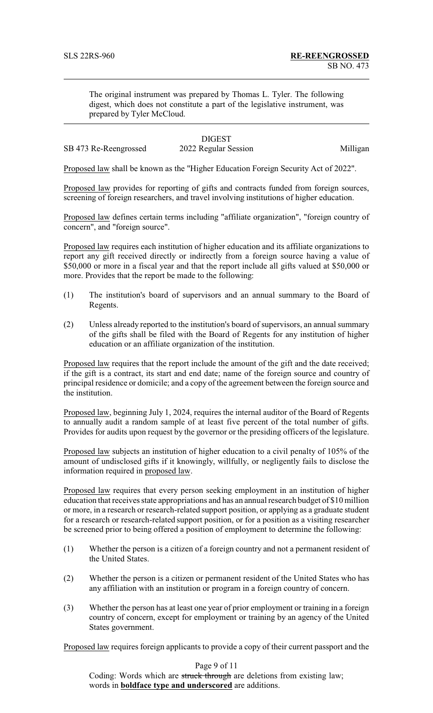The original instrument was prepared by Thomas L. Tyler. The following digest, which does not constitute a part of the legislative instrument, was prepared by Tyler McCloud.

# **DIGEST**

SB 473 Re-Reengrossed 2022 Regular Session Milligan

Proposed law shall be known as the "Higher Education Foreign Security Act of 2022".

Proposed law provides for reporting of gifts and contracts funded from foreign sources, screening of foreign researchers, and travel involving institutions of higher education.

Proposed law defines certain terms including "affiliate organization", "foreign country of concern", and "foreign source".

Proposed law requires each institution of higher education and its affiliate organizations to report any gift received directly or indirectly from a foreign source having a value of \$50,000 or more in a fiscal year and that the report include all gifts valued at \$50,000 or more. Provides that the report be made to the following:

- (1) The institution's board of supervisors and an annual summary to the Board of Regents.
- (2) Unless already reported to the institution's board of supervisors, an annual summary of the gifts shall be filed with the Board of Regents for any institution of higher education or an affiliate organization of the institution.

Proposed law requires that the report include the amount of the gift and the date received; if the gift is a contract, its start and end date; name of the foreign source and country of principal residence or domicile; and a copy of the agreement between the foreign source and the institution.

Proposed law, beginning July 1, 2024, requires the internal auditor of the Board of Regents to annually audit a random sample of at least five percent of the total number of gifts. Provides for audits upon request by the governor or the presiding officers of the legislature.

Proposed law subjects an institution of higher education to a civil penalty of 105% of the amount of undisclosed gifts if it knowingly, willfully, or negligently fails to disclose the information required in proposed law.

Proposed law requires that every person seeking employment in an institution of higher education that receives state appropriations and has an annual research budget of \$10 million or more, in a research or research-related support position, or applying as a graduate student for a research or research-related support position, or for a position as a visiting researcher be screened prior to being offered a position of employment to determine the following:

- (1) Whether the person is a citizen of a foreign country and not a permanent resident of the United States.
- (2) Whether the person is a citizen or permanent resident of the United States who has any affiliation with an institution or program in a foreign country of concern.
- (3) Whether the person has at least one year of prior employment or training in a foreign country of concern, except for employment or training by an agency of the United States government.

Proposed law requires foreign applicants to provide a copy of their current passport and the

Page 9 of 11

Coding: Words which are struck through are deletions from existing law; words in **boldface type and underscored** are additions.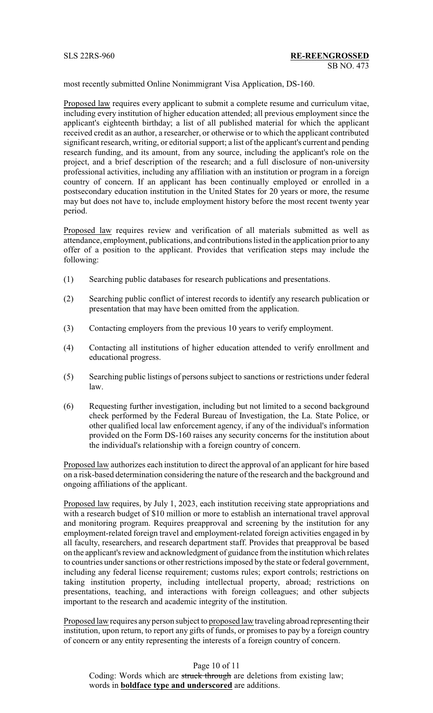most recently submitted Online Nonimmigrant Visa Application, DS-160.

Proposed law requires every applicant to submit a complete resume and curriculum vitae, including every institution of higher education attended; all previous employment since the applicant's eighteenth birthday; a list of all published material for which the applicant received credit as an author, a researcher, or otherwise or to which the applicant contributed significant research, writing, or editorial support; a list of the applicant's current and pending research funding, and its amount, from any source, including the applicant's role on the project, and a brief description of the research; and a full disclosure of non-university professional activities, including any affiliation with an institution or program in a foreign country of concern. If an applicant has been continually employed or enrolled in a postsecondary education institution in the United States for 20 years or more, the resume may but does not have to, include employment history before the most recent twenty year period.

Proposed law requires review and verification of all materials submitted as well as attendance, employment, publications, and contributions listed in the application prior to any offer of a position to the applicant. Provides that verification steps may include the following:

- (1) Searching public databases for research publications and presentations.
- (2) Searching public conflict of interest records to identify any research publication or presentation that may have been omitted from the application.
- (3) Contacting employers from the previous 10 years to verify employment.
- (4) Contacting all institutions of higher education attended to verify enrollment and educational progress.
- (5) Searching public listings of persons subject to sanctions or restrictions under federal law.
- (6) Requesting further investigation, including but not limited to a second background check performed by the Federal Bureau of Investigation, the La. State Police, or other qualified local law enforcement agency, if any of the individual's information provided on the Form DS-160 raises any security concerns for the institution about the individual's relationship with a foreign country of concern.

Proposed law authorizes each institution to direct the approval of an applicant for hire based on a risk-based determination considering the nature of the research and the background and ongoing affiliations of the applicant.

Proposed law requires, by July 1, 2023, each institution receiving state appropriations and with a research budget of \$10 million or more to establish an international travel approval and monitoring program. Requires preapproval and screening by the institution for any employment-related foreign travel and employment-related foreign activities engaged in by all faculty, researchers, and research department staff. Provides that preapproval be based on the applicant's review and acknowledgment of guidance from the institution which relates to countries under sanctions or other restrictions imposed by the state or federal government, including any federal license requirement; customs rules; export controls; restrictions on taking institution property, including intellectual property, abroad; restrictions on presentations, teaching, and interactions with foreign colleagues; and other subjects important to the research and academic integrity of the institution.

Proposed law requires any person subject to proposed law traveling abroad representing their institution, upon return, to report any gifts of funds, or promises to pay by a foreign country of concern or any entity representing the interests of a foreign country of concern.

Page 10 of 11 Coding: Words which are struck through are deletions from existing law; words in **boldface type and underscored** are additions.